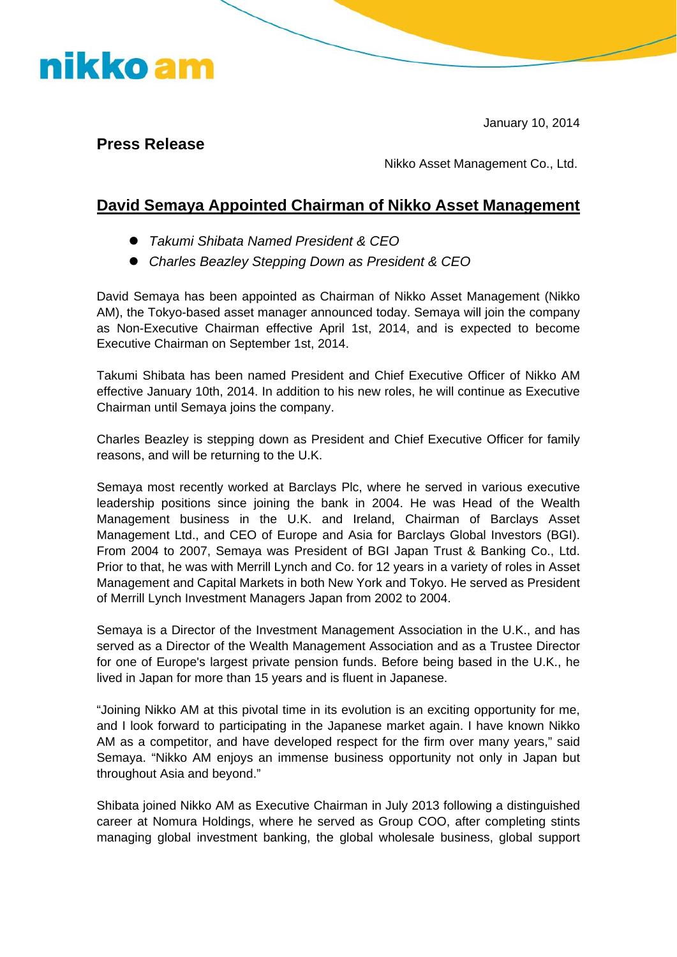January 10, 2014

#### **Press Release**

nikko am

Nikko Asset Management Co., Ltd.

#### **David Semaya Appointed Chairman of Nikko Asset Management**

- *Takumi Shibata Named President & CEO*
- **Charles Beazley Stepping Down as President & CEO**

David Semaya has been appointed as Chairman of Nikko Asset Management (Nikko AM), the Tokyo-based asset manager announced today. Semaya will join the company as Non-Executive Chairman effective April 1st, 2014, and is expected to become Executive Chairman on September 1st, 2014.

Takumi Shibata has been named President and Chief Executive Officer of Nikko AM effective January 10th, 2014. In addition to his new roles, he will continue as Executive Chairman until Semaya joins the company.

Charles Beazley is stepping down as President and Chief Executive Officer for family reasons, and will be returning to the U.K.

Semaya most recently worked at Barclays Plc, where he served in various executive leadership positions since joining the bank in 2004. He was Head of the Wealth Management business in the U.K. and Ireland, Chairman of Barclays Asset Management Ltd., and CEO of Europe and Asia for Barclays Global Investors (BGI). From 2004 to 2007, Semaya was President of BGI Japan Trust & Banking Co., Ltd. Prior to that, he was with Merrill Lynch and Co. for 12 years in a variety of roles in Asset Management and Capital Markets in both New York and Tokyo. He served as President of Merrill Lynch Investment Managers Japan from 2002 to 2004.

Semaya is a Director of the Investment Management Association in the U.K., and has served as a Director of the Wealth Management Association and as a Trustee Director for one of Europe's largest private pension funds. Before being based in the U.K., he lived in Japan for more than 15 years and is fluent in Japanese.

"Joining Nikko AM at this pivotal time in its evolution is an exciting opportunity for me, and I look forward to participating in the Japanese market again. I have known Nikko AM as a competitor, and have developed respect for the firm over many years," said Semaya. "Nikko AM enjoys an immense business opportunity not only in Japan but throughout Asia and beyond."

Shibata joined Nikko AM as Executive Chairman in July 2013 following a distinguished career at Nomura Holdings, where he served as Group COO, after completing stints managing global investment banking, the global wholesale business, global support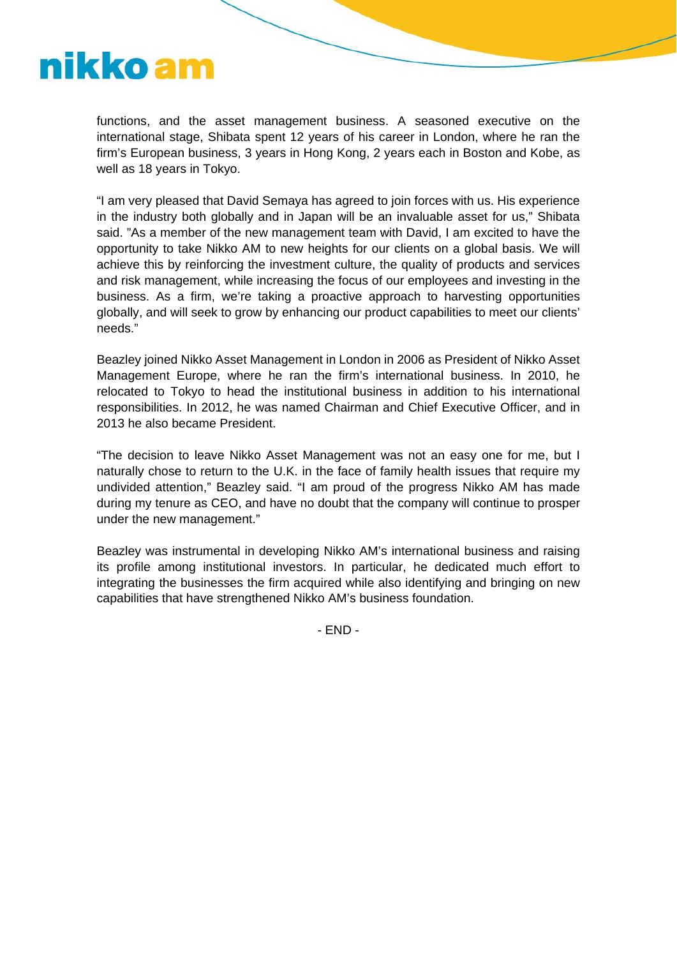## nikko am

functions, and the asset management business. A seasoned executive on the international stage, Shibata spent 12 years of his career in London, where he ran the firm's European business, 3 years in Hong Kong, 2 years each in Boston and Kobe, as well as 18 years in Tokyo.

"I am very pleased that David Semaya has agreed to join forces with us. His experience in the industry both globally and in Japan will be an invaluable asset for us," Shibata said. "As a member of the new management team with David, I am excited to have the opportunity to take Nikko AM to new heights for our clients on a global basis. We will achieve this by reinforcing the investment culture, the quality of products and services and risk management, while increasing the focus of our employees and investing in the business. As a firm, we're taking a proactive approach to harvesting opportunities globally, and will seek to grow by enhancing our product capabilities to meet our clients' needs."

Beazley joined Nikko Asset Management in London in 2006 as President of Nikko Asset Management Europe, where he ran the firm's international business. In 2010, he relocated to Tokyo to head the institutional business in addition to his international responsibilities. In 2012, he was named Chairman and Chief Executive Officer, and in 2013 he also became President.

"The decision to leave Nikko Asset Management was not an easy one for me, but I naturally chose to return to the U.K. in the face of family health issues that require my undivided attention," Beazley said. "I am proud of the progress Nikko AM has made during my tenure as CEO, and have no doubt that the company will continue to prosper under the new management."

Beazley was instrumental in developing Nikko AM's international business and raising its profile among institutional investors. In particular, he dedicated much effort to integrating the businesses the firm acquired while also identifying and bringing on new capabilities that have strengthened Nikko AM's business foundation.

- END -